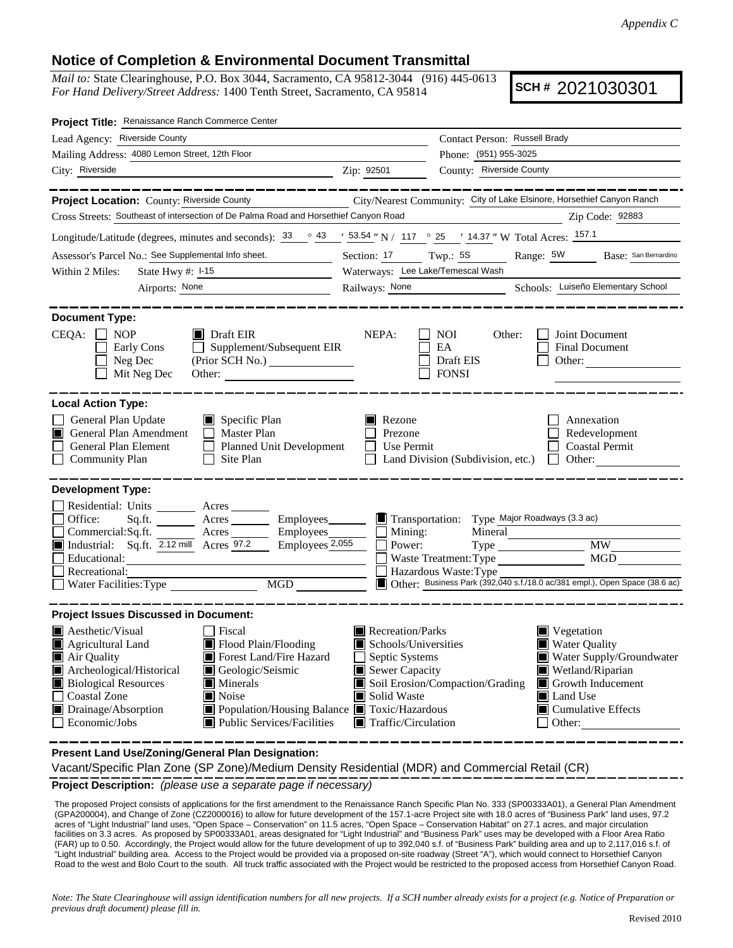## **Notice of Completion & Environmental Document Transmittal**

*Mail to:* State Clearinghouse, P.O. Box 3044, Sacramento, CA 95812-3044 (916) 445-0613 *For Hand Delivery/Street Address:* 1400 Tenth Street, Sacramento, CA 95814

**SCH #** 2021030301

| Project Title: Renaissance Ranch Commerce Center                                                                                                                                                                                                                                                                                                                                                                                                                                       |                                                                                                                                                  |                                                                                                                                                                               |                                                                                                                                                                                     |  |  |  |
|----------------------------------------------------------------------------------------------------------------------------------------------------------------------------------------------------------------------------------------------------------------------------------------------------------------------------------------------------------------------------------------------------------------------------------------------------------------------------------------|--------------------------------------------------------------------------------------------------------------------------------------------------|-------------------------------------------------------------------------------------------------------------------------------------------------------------------------------|-------------------------------------------------------------------------------------------------------------------------------------------------------------------------------------|--|--|--|
| Lead Agency: Riverside County                                                                                                                                                                                                                                                                                                                                                                                                                                                          | Contact Person: Russell Brady                                                                                                                    |                                                                                                                                                                               |                                                                                                                                                                                     |  |  |  |
| Mailing Address: 4080 Lemon Street, 12th Floor                                                                                                                                                                                                                                                                                                                                                                                                                                         |                                                                                                                                                  | Phone: (951) 955-3025                                                                                                                                                         |                                                                                                                                                                                     |  |  |  |
| City: Riverside<br>Zip: 92501                                                                                                                                                                                                                                                                                                                                                                                                                                                          |                                                                                                                                                  | County: Riverside County                                                                                                                                                      |                                                                                                                                                                                     |  |  |  |
|                                                                                                                                                                                                                                                                                                                                                                                                                                                                                        |                                                                                                                                                  |                                                                                                                                                                               |                                                                                                                                                                                     |  |  |  |
| Project Location: County: Riverside County                                                                                                                                                                                                                                                                                                                                                                                                                                             |                                                                                                                                                  | City/Nearest Community: City of Lake Elsinore, Horsethief Canyon Ranch                                                                                                        |                                                                                                                                                                                     |  |  |  |
| Cross Streets: Southeast of intersection of De Palma Road and Horsethief Canyon Road                                                                                                                                                                                                                                                                                                                                                                                                   |                                                                                                                                                  |                                                                                                                                                                               | Zip Code: 92883                                                                                                                                                                     |  |  |  |
| Longitude/Latitude (degrees, minutes and seconds): $\frac{33}{9}$ $\frac{43}{9}$ $\frac{1}{2}$ 53.54" N / 117 ° 25 ' 14.37" W Total Acres: 157.1                                                                                                                                                                                                                                                                                                                                       |                                                                                                                                                  |                                                                                                                                                                               |                                                                                                                                                                                     |  |  |  |
| Assessor's Parcel No.: See Supplemental Info sheet.                                                                                                                                                                                                                                                                                                                                                                                                                                    | Section: 17 Twp.: 5S                                                                                                                             |                                                                                                                                                                               | Range: 5W Base: San Bernardino                                                                                                                                                      |  |  |  |
| Within 2 Miles:<br>State Hwy $\#$ : $\frac{1-15}{2}$                                                                                                                                                                                                                                                                                                                                                                                                                                   | Waterways: Lee Lake/Temescal Wash                                                                                                                |                                                                                                                                                                               |                                                                                                                                                                                     |  |  |  |
| Airports: None                                                                                                                                                                                                                                                                                                                                                                                                                                                                         | Railways: None                                                                                                                                   |                                                                                                                                                                               | Schools: Luiseño Elementary School                                                                                                                                                  |  |  |  |
| <b>Document Type:</b><br>$CEQA: \Box NP$<br>$\blacksquare$ Draft EIR<br>$\Box$ Supplement/Subsequent EIR<br>Early Cons<br>Neg Dec<br>Mit Neg Dec<br>Other:                                                                                                                                                                                                                                                                                                                             | NEPA:                                                                                                                                            | NOI.<br>Other:<br>EA<br>Draft EIS<br><b>FONSI</b>                                                                                                                             | Joint Document<br>Final Document<br>Other:                                                                                                                                          |  |  |  |
| <b>Local Action Type:</b>                                                                                                                                                                                                                                                                                                                                                                                                                                                              |                                                                                                                                                  |                                                                                                                                                                               |                                                                                                                                                                                     |  |  |  |
| General Plan Update<br>Specific Plan<br>General Plan Amendment<br>$\Box$ Master Plan<br>General Plan Element<br>Planned Unit Development<br><b>Community Plan</b><br>  Site Plan                                                                                                                                                                                                                                                                                                       | Rezone<br>Prezone<br>Use Permit                                                                                                                  | Land Division (Subdivision, etc.)                                                                                                                                             | Annexation<br>Redevelopment<br><b>Coastal Permit</b><br>$\Box$ Other:                                                                                                               |  |  |  |
| <b>Development Type:</b><br>Residential: Units ________ Acres _______<br>Office:<br>Employees________<br>$Sq.fit.$ Acres<br>Commercial:Sq.ft.<br>Industrial: Sq.ft. 2.12 mill Acres 97.2 Employees 2.<br>Employees 2,055<br>Educational:<br>Recreational:<br>Water Facilities: Type<br>MGD                                                                                                                                                                                             | $\Box$ Mining:<br>Power:                                                                                                                         | Transportation: Type Major Roadways (3.3 ac)<br>Waste Treatment: Type<br>Hazardous Waste: Type<br>Other: Business Park (392,040 s.f./18.0 ac/381 empl.), Open Space (38.6 ac) | <b>MW</b><br>MGD                                                                                                                                                                    |  |  |  |
| <b>Project Issues Discussed in Document:</b>                                                                                                                                                                                                                                                                                                                                                                                                                                           |                                                                                                                                                  |                                                                                                                                                                               |                                                                                                                                                                                     |  |  |  |
| <b>A</b> esthetic/Visual<br>Fiscal<br>$\mathbf{I}$<br>Flood Plain/Flooding<br>$\blacksquare$ Agricultural Land<br>Forest Land/Fire Hazard<br>$\blacksquare$ Air Quality<br>Archeological/Historical<br>Geologic/Seismic<br><b>Biological Resources</b><br>$\blacksquare$ Minerals<br><b>Coastal Zone</b><br>$\blacksquare$ Noise<br>$\blacksquare$ Drainage/Absorption<br>■ Population/Housing Balance ■ Toxic/Hazardous<br>Economic/Jobs<br>$\blacksquare$ Public Services/Facilities | Recreation/Parks<br>$\blacksquare$ Schools/Universities<br>Septic Systems<br>Sewer Capacity<br>Solid Waste<br>$\blacksquare$ Traffic/Circulation | Soil Erosion/Compaction/Grading                                                                                                                                               | $\blacksquare$ Vegetation<br>■ Water Quality<br>Water Supply/Groundwater<br>Wetland/Riparian<br>Growth Inducement<br>Land Use<br>$\blacksquare$ Cumulative Effects<br>$\Box$ Other: |  |  |  |

**Present Land Use/Zoning/General Plan Designation:**

Vacant/Specific Plan Zone (SP Zone)/Medium Density Residential (MDR) and Commercial Retail (CR)

**Project Description:** *(please use a separate page if necessary)*

 The proposed Project consists of applications for the first amendment to the Renaissance Ranch Specific Plan No. 333 (SP00333A01), a General Plan Amendment (GPA200004), and Change of Zone (CZ2000016) to allow for future development of the 157.1-acre Project site with 18.0 acres of "Business Park" land uses, 97.2 acres of "Light Industrial" land uses, "Open Space – Conservation" on 11.5 acres, "Open Space – Conservation Habitat" on 27.1 acres, and major circulation facilities on 3.3 acres. As proposed by SP00333A01, areas designated for "Light Industrial" and "Business Park" uses may be developed with a Floor Area Ratio (FAR) up to 0.50. Accordingly, the Project would allow for the future development of up to 392,040 s.f. of "Business Park" building area and up to 2,117,016 s.f. of "Light Industrial" building area. Access to the Project would be provided via a proposed on-site roadway (Street "A"), which would connect to Horsethief Canyon Road to the west and Bolo Court to the south. All truck traffic associated with the Project would be restricted to the proposed access from Horsethief Canyon Road.

*Note: The State Clearinghouse will assign identification numbers for all new projects. If a SCH number already exists for a project (e.g. Notice of Preparation or previous draft document) please fill in.*